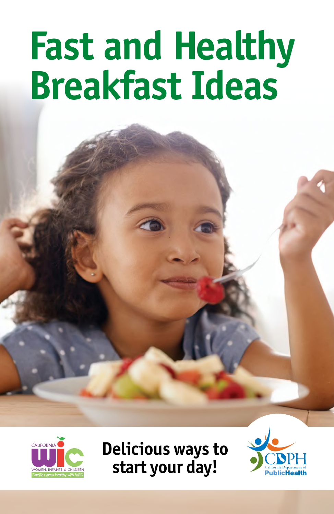# **Fast and Healthy Breakfast Ideas**



**Delicious ways to start your day!**

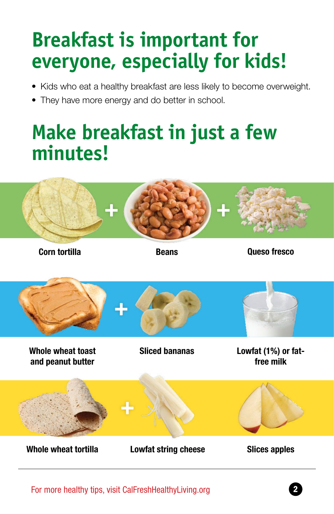### **Breakfast is important for everyone, especially for kids!**

- Kids who eat a healthy breakfast are less likely to become overweight.
- They have more energy and do better in school.

### **Make breakfast in just a few minutes!**



**Corn tortilla Beans Beans Queso fresco** 

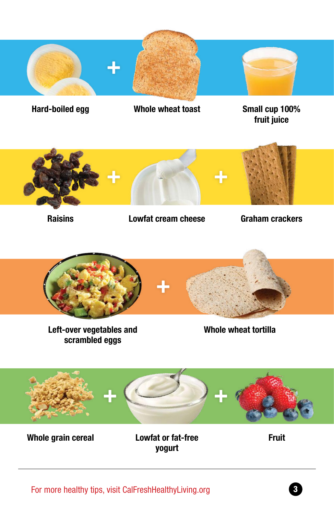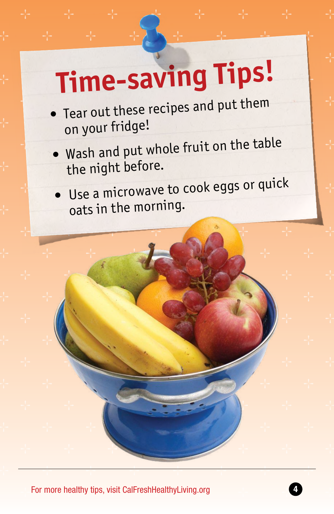# **Time-saving Tips!**

- Tear out these recipes and put them on your fridge!
- Wash and put whole fruit on the table the night before.
- Use a microwave to cook eggs or quick oats in the morning.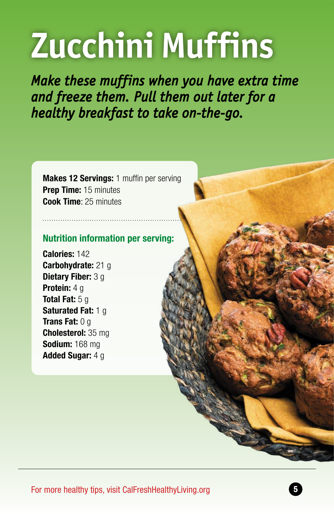# **Zucchini Muffins**

*Make these muffins when you have extra time and freeze them. Pull them out later for a healthy breakfast to take on-the-go.*

**Makes 12 Servings:** 1 muffin per serving **Prep Time:** 15 minutes **Cook Time**: 25 minutes

#### **Nutrition information per serving:**

**Calories:** 142 **Carbohydrate:** 21 g **Dietary Fiber:** 3 g **Protein:** 4 g **Total Fat:** 5 g **Saturated Fat: 1 g Trans Fat:** 0 g **Cholesterol:** 35 mg **Sodium:** 168 mg **Added Sugar:** 4 g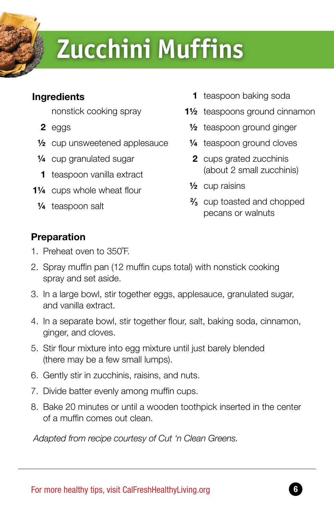### **Zucchini Muffins**

#### **Ingredients**

nonstick cooking spray

- **2** eggs
- **½** cup unsweetened applesauce
- **¼** cup granulated sugar
- **1** teaspoon vanilla extract
- **1¼** cups whole wheat flour
	- **¼** teaspoon salt
- **1** teaspoon baking soda
- **1½** teaspoons ground cinnamon
	- **½** teaspoon ground ginger
	- **¼** teaspoon ground cloves
	- **2** cups grated zucchinis (about 2 small zucchinis)
	- **½** cup raisins
	- **2 ⁄3** cup toasted and chopped pecans or walnuts

#### **Preparation**

- 1. Preheat oven to 350˚F.
- 2. Spray muffin pan (12 muffin cups total) with nonstick cooking spray and set aside.
- 3. In a large bowl, stir together eggs, applesauce, granulated sugar, and vanilla extract.
- 4. In a separate bowl, stir together flour, salt, baking soda, cinnamon, ginger, and cloves.
- 5. Stir flour mixture into egg mixture until just barely blended (there may be a few small lumps).
- 6. Gently stir in zucchinis, raisins, and nuts.
- 7. Divide batter evenly among muffin cups.
- 8. Bake 20 minutes or until a wooden toothpick inserted in the center of a muffin comes out clean.

 *Adapted from recipe courtesy of Cut 'n Clean Greens.*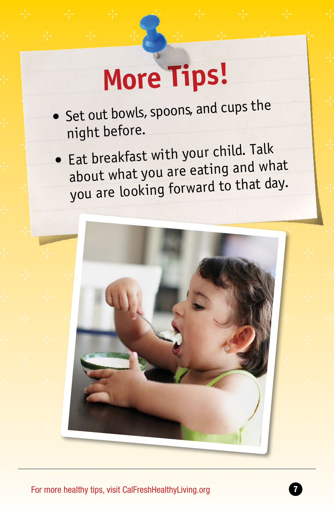## **More Tips!**

- **•** Set out bowls, spoons, and cups the night before.
- Eat breakfast with your child. Talk about what you are eating and what you are looking forward to that day.

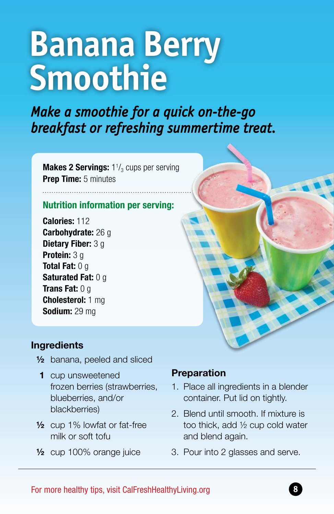## **Banana Berry Smoothie**

*Make a smoothie for a quick on-the-go breakfast or refreshing summertime treat.*

**Makes 2 Servings:** 1<sup>1</sup>/<sub>3</sub> cups per serving **Prep Time:** 5 minutes

#### **Nutrition information per serving:**

**Calories:** 112 **Carbohydrate:** 26 g **Dietary Fiber:** 3 g **Protein:** 3 g **Total Fat:** 0 g **Saturated Fat:** 0 g **Trans Fat:** 0 g **Cholesterol:** 1 mg **Sodium:** 29 mg

. . . . . . . . . . . . . . . . . . .

#### **Ingredients**

- **½** banana, peeled and sliced
- **1** cup unsweetened frozen berries (strawberries, blueberries, and/or blackberries)
- **½** cup 1% lowfat or fat-free milk or soft tofu
- **½** cup 100% orange juice

#### **Preparation**

- 1. Place all ingredients in a blender container. Put lid on tightly.
- 2. Blend until smooth. If mixture is too thick, add ½ cup cold water and blend again.
- 3. Pour into 2 glasses and serve.